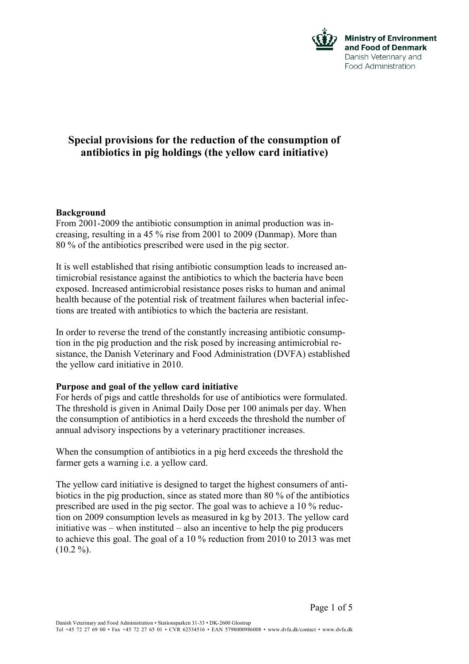

# **Special provisions for the reduction of the consumption of antibiotics in pig holdings (the yellow card initiative)**

## **Background**

From 2001-2009 the antibiotic consumption in animal production was increasing, resulting in a 45 % rise from 2001 to 2009 (Danmap). More than 80 % of the antibiotics prescribed were used in the pig sector.

It is well established that rising antibiotic consumption leads to increased antimicrobial resistance against the antibiotics to which the bacteria have been exposed. Increased antimicrobial resistance poses risks to human and animal health because of the potential risk of treatment failures when bacterial infections are treated with antibiotics to which the bacteria are resistant.

In order to reverse the trend of the constantly increasing antibiotic consumption in the pig production and the risk posed by increasing antimicrobial resistance, the Danish Veterinary and Food Administration (DVFA) established the yellow card initiative in 2010.

### **Purpose and goal of the yellow card initiative**

For herds of pigs and cattle thresholds for use of antibiotics were formulated. The threshold is given in Animal Daily Dose per 100 animals per day. When the consumption of antibiotics in a herd exceeds the threshold the number of annual advisory inspections by a veterinary practitioner increases.

When the consumption of antibiotics in a pig herd exceeds the threshold the farmer gets a warning i.e. a yellow card.

The yellow card initiative is designed to target the highest consumers of antibiotics in the pig production, since as stated more than 80 % of the antibiotics prescribed are used in the pig sector. The goal was to achieve a 10 % reduction on 2009 consumption levels as measured in kg by 2013. The yellow card initiative was – when instituted – also an incentive to help the pig producers to achieve this goal. The goal of a 10 % reduction from 2010 to 2013 was met  $(10.2 \%)$ .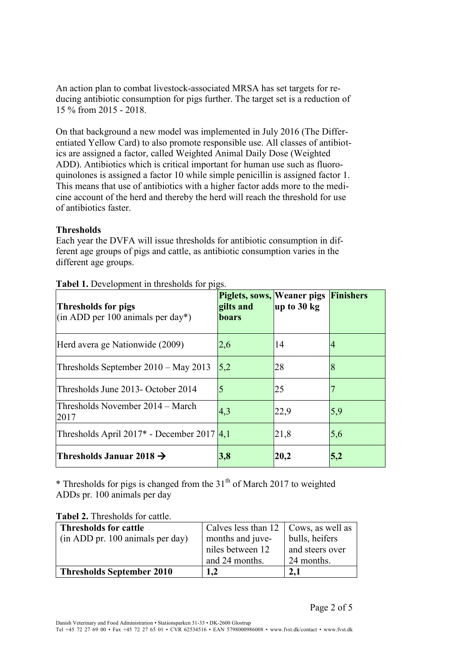An action plan to combat livestock-associated MRSA has set targets for reducing antibiotic consumption for pigs further. The target set is a reduction of 15 % from 2015 - 2018.

On that background a new model was implemented in July 2016 (The Differentiated Yellow Card) to also promote responsible use. All classes of antibiotics are assigned a factor, called Weighted Animal Daily Dose (Weighted ADD). Antibiotics which is critical important for human use such as fluoroquinolones is assigned a factor 10 while simple penicillin is assigned factor 1. This means that use of antibiotics with a higher factor adds more to the medicine account of the herd and thereby the herd will reach the threshold for use of antibiotics faster.

## **Thresholds**

Each year the DVFA will issue thresholds for antibiotic consumption in different age groups of pigs and cattle, as antibiotic consumption varies in the different age groups.

| Thresholds for pigs<br>$(\text{in ADD per } 100 \text{ animals per day*})$ | <b>Piglets, sows, Weaner pigs Finishers</b><br>gilts and<br>boars | up to 30 kg |     |
|----------------------------------------------------------------------------|-------------------------------------------------------------------|-------------|-----|
| Herd avera ge Nationwide (2009)                                            | 2,6                                                               | 14          | 4   |
| Thresholds September 2010 - May 2013                                       | 5,2                                                               | 28          | 8   |
| Thresholds June 2013- October 2014                                         | 5                                                                 | 25          |     |
| Thresholds November 2014 – March<br>2017                                   | 4,3                                                               | 22,9        | 5,9 |
| Thresholds April 2017 <sup>*</sup> - December 2017 4,1                     |                                                                   | 21,8        | 5,6 |
| Thresholds Januar 2018 $\rightarrow$                                       | 3,8                                                               | 20,2        | 5,2 |

**Tabel 1.** Development in thresholds for pigs.

 $*$  Thresholds for pigs is changed from the 31<sup>th</sup> of March 2017 to weighted ADDs pr. 100 animals per day

| <b>Tabel 2.</b> Thresholds for cattle. |  |
|----------------------------------------|--|
|----------------------------------------|--|

| <b>Thresholds for cattle</b>     | Calves less than $12 \mid \text{Cows}, \text{ as well as}$ |                 |
|----------------------------------|------------------------------------------------------------|-----------------|
| (in ADD pr. 100 animals per day) | months and juve-                                           | bulls, heifers  |
|                                  | niles between 12                                           | and steers over |
|                                  | and 24 months.                                             | 24 months.      |
| <b>Thresholds September 2010</b> | 1.2                                                        |                 |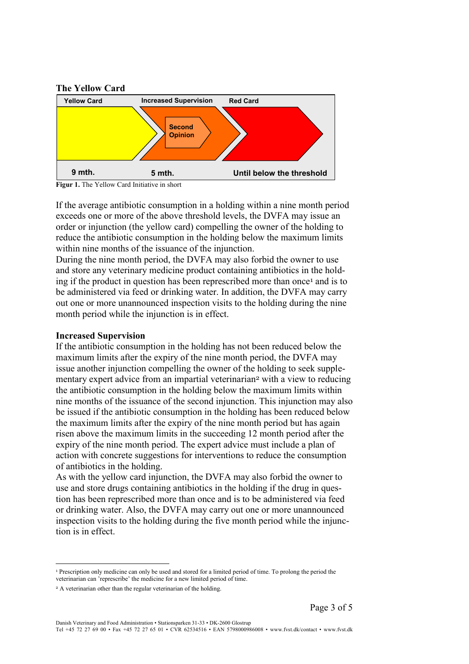



**Figur 1.** The Yellow Card Initiative in short

If the average antibiotic consumption in a holding within a nine month period exceeds one or more of the above threshold levels, the DVFA may issue an order or injunction (the yellow card) compelling the owner of the holding to reduce the antibiotic consumption in the holding below the maximum limits within nine months of the issuance of the injunction.

During the nine month period, the DVFA may also forbid the owner to use and store any veterinary medicine product containing antibiotics in the holding if the product in question has been represcribed more than once<sup>1</sup> and is to be administered via feed or drinking water. In addition, the DVFA may carry out one or more unannounced inspection visits to the holding during the nine month period while the injunction is in effect.

#### **Increased Supervision**

If the antibiotic consumption in the holding has not been reduced below the maximum limits after the expiry of the nine month period, the DVFA may issue another injunction compelling the owner of the holding to seek supplementary expert advice from an impartial veterinarian<sup>2</sup> with a view to reducing the antibiotic consumption in the holding below the maximum limits within nine months of the issuance of the second injunction. This injunction may also be issued if the antibiotic consumption in the holding has been reduced below the maximum limits after the expiry of the nine month period but has again risen above the maximum limits in the succeeding 12 month period after the expiry of the nine month period. The expert advice must include a plan of action with concrete suggestions for interventions to reduce the consumption of antibiotics in the holding.

As with the yellow card injunction, the DVFA may also forbid the owner to use and store drugs containing antibiotics in the holding if the drug in question has been represcribed more than once and is to be administered via feed or drinking water. Also, the DVFA may carry out one or more unannounced inspection visits to the holding during the five month period while the injunction is in effect.

 $\overline{a}$ 

<sup>1</sup> Prescription only medicine can only be used and stored for a limited period of time. To prolong the period the veterinarian can 'represcribe' the medicine for a new limited period of time.

<sup>2</sup> A veterinarian other than the regular veterinarian of the holding.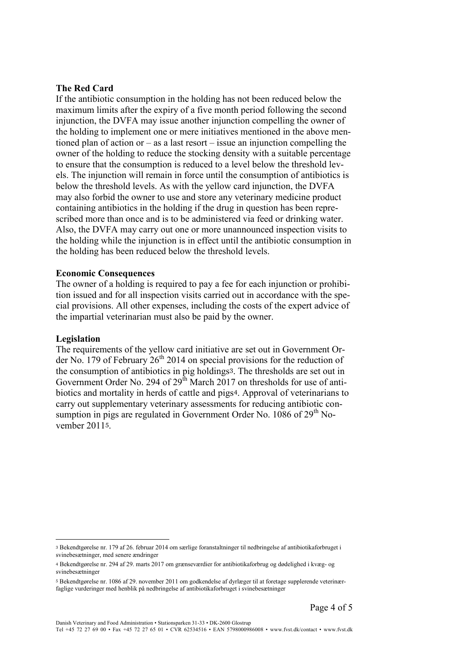#### **The Red Card**

If the antibiotic consumption in the holding has not been reduced below the maximum limits after the expiry of a five month period following the second injunction, the DVFA may issue another injunction compelling the owner of the holding to implement one or mere initiatives mentioned in the above mentioned plan of action or – as a last resort – issue an injunction compelling the owner of the holding to reduce the stocking density with a suitable percentage to ensure that the consumption is reduced to a level below the threshold levels. The injunction will remain in force until the consumption of antibiotics is below the threshold levels. As with the yellow card injunction, the DVFA may also forbid the owner to use and store any veterinary medicine product containing antibiotics in the holding if the drug in question has been represcribed more than once and is to be administered via feed or drinking water. Also, the DVFA may carry out one or more unannounced inspection visits to the holding while the injunction is in effect until the antibiotic consumption in the holding has been reduced below the threshold levels.

#### **Economic Consequences**

The owner of a holding is required to pay a fee for each injunction or prohibition issued and for all inspection visits carried out in accordance with the special provisions. All other expenses, including the costs of the expert advice of the impartial veterinarian must also be paid by the owner.

#### **Legislation**

 $\overline{a}$ 

The requirements of the yellow card initiative are set out in Government Order No. 179 of February  $26<sup>th</sup> 2014$  on special provisions for the reduction of the consumption of antibiotics in pig holdings3. The thresholds are set out in Government Order No. 294 of  $29<sup>th</sup>$  March 2017 on thresholds for use of antibiotics and mortality in herds of cattle and pigs4. Approval of veterinarians to carry out supplementary veterinary assessments for reducing antibiotic consumption in pigs are regulated in Government Order No. 1086 of  $29<sup>th</sup>$  November 20115.

<sup>3</sup> Bekendtgørelse nr. 179 af 26. februar 2014 om særlige foranstaltninger til nedbringelse af antibiotikaforbruget i svinebesætninger, med senere ændringer

<sup>4</sup> Bekendtgørelse nr. 294 af 29. marts 2017 om grænseværdier for antibiotikaforbrug og dødelighed i kvæg- og svinebesætninger

<sup>5</sup> Bekendtgørelse nr. 1086 af 29. november 2011 om godkendelse af dyrlæger til at foretage supplerende veterinærfaglige vurderinger med henblik på nedbringelse af antibiotikaforbruget i svinebesætninger